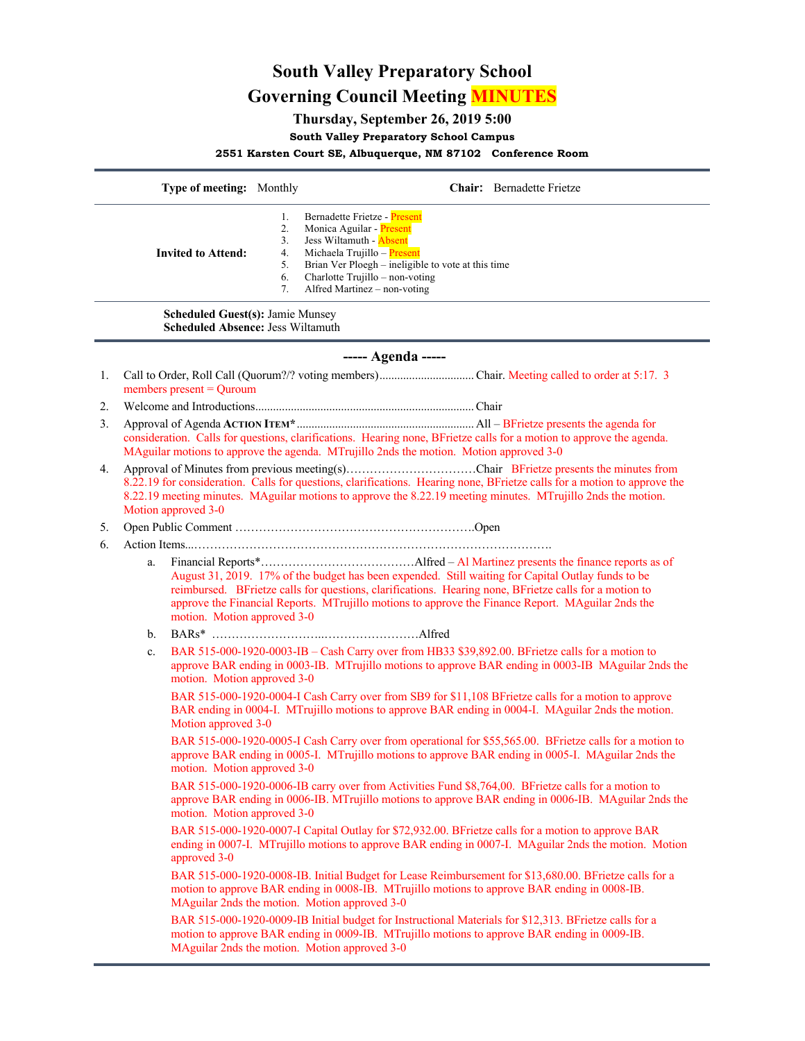# **South Valley Preparatory School Governing Council Meeting MINUTES**

# **Thursday, September 26, 2019 5:00**

# **South Valley Preparatory School Campus**

**2551 Karsten Court SE, Albuquerque, NM 87102 Conference Room**

|                                                                                     |                                                                                                                                                                                                                                                                 | Type of meeting: Monthly    |                                        | Chair: Bernadette Frietze                                                                                                                                                                                                                                                                                         |  |
|-------------------------------------------------------------------------------------|-----------------------------------------------------------------------------------------------------------------------------------------------------------------------------------------------------------------------------------------------------------------|-----------------------------|----------------------------------------|-------------------------------------------------------------------------------------------------------------------------------------------------------------------------------------------------------------------------------------------------------------------------------------------------------------------|--|
|                                                                                     |                                                                                                                                                                                                                                                                 | <b>Invited to Attend:</b>   | 1.<br>2.<br>3.<br>4.<br>5.<br>6.<br>7. | Bernadette Frietze - Present<br>Monica Aguilar - Present<br>Jess Wiltamuth - <b>Absent</b><br>Michaela Trujillo - Present<br>Brian Ver Ploegh - ineligible to vote at this time<br>Charlotte Trujillo - non-voting<br>Alfred Martinez - non-voting                                                                |  |
| <b>Scheduled Guest(s): Jamie Munsey</b><br><b>Scheduled Absence: Jess Wiltamuth</b> |                                                                                                                                                                                                                                                                 |                             |                                        |                                                                                                                                                                                                                                                                                                                   |  |
| ----- Agenda -----                                                                  |                                                                                                                                                                                                                                                                 |                             |                                        |                                                                                                                                                                                                                                                                                                                   |  |
| 1.                                                                                  |                                                                                                                                                                                                                                                                 | members present $=$ Quroum  |                                        |                                                                                                                                                                                                                                                                                                                   |  |
| 2.                                                                                  |                                                                                                                                                                                                                                                                 |                             |                                        |                                                                                                                                                                                                                                                                                                                   |  |
| 3.                                                                                  | consideration. Calls for questions, clarifications. Hearing none, BFrietze calls for a motion to approve the agenda.<br>MAguilar motions to approve the agenda. MTrujillo 2nds the motion. Motion approved 3-0                                                  |                             |                                        |                                                                                                                                                                                                                                                                                                                   |  |
| 4.                                                                                  | 8.22.19 for consideration. Calls for questions, clarifications. Hearing none, BFrietze calls for a motion to approve the<br>8.22.19 meeting minutes. MAguilar motions to approve the 8.22.19 meeting minutes. MTrujillo 2nds the motion.<br>Motion approved 3-0 |                             |                                        |                                                                                                                                                                                                                                                                                                                   |  |
| 5.                                                                                  |                                                                                                                                                                                                                                                                 |                             |                                        |                                                                                                                                                                                                                                                                                                                   |  |
| 6.                                                                                  | a.                                                                                                                                                                                                                                                              | motion. Motion approved 3-0 |                                        | August 31, 2019. 17% of the budget has been expended. Still waiting for Capital Outlay funds to be<br>reimbursed. BFrietze calls for questions, clarifications. Hearing none, BFrietze calls for a motion to<br>approve the Financial Reports. MTrujillo motions to approve the Finance Report. MAguilar 2nds the |  |
|                                                                                     | b.                                                                                                                                                                                                                                                              |                             |                                        |                                                                                                                                                                                                                                                                                                                   |  |
|                                                                                     | c.                                                                                                                                                                                                                                                              | motion. Motion approved 3-0 |                                        | BAR 515-000-1920-0003-IB - Cash Carry over from HB33 \$39,892.00. BFrietze calls for a motion to<br>approve BAR ending in 0003-IB. MTrujillo motions to approve BAR ending in 0003-IB MAguilar 2nds the                                                                                                           |  |
|                                                                                     |                                                                                                                                                                                                                                                                 | Motion approved 3-0         |                                        | BAR 515-000-1920-0004-I Cash Carry over from SB9 for \$11,108 BFrietze calls for a motion to approve<br>BAR ending in 0004-I. MTrujillo motions to approve BAR ending in 0004-I. MAguilar 2nds the motion.                                                                                                        |  |
|                                                                                     |                                                                                                                                                                                                                                                                 |                             |                                        | BAR 515-000-1920-0005-I Cash Carry over from operational for \$55,565.00. BFrietze calls for a motion to<br>approve BAR ending in 0005-I. MTrujillo motions to approve BAR ending in 0005-I. MAguilar 2nds the<br>motion. Motion approved 3-0                                                                     |  |
|                                                                                     |                                                                                                                                                                                                                                                                 | motion. Motion approved 3-0 |                                        | BAR 515-000-1920-0006-IB carry over from Activities Fund \$8,764,00. BFrietze calls for a motion to<br>approve BAR ending in 0006-IB. MTrujillo motions to approve BAR ending in 0006-IB. MAguilar 2nds the                                                                                                       |  |
|                                                                                     |                                                                                                                                                                                                                                                                 | approved 3-0                |                                        | BAR 515-000-1920-0007-I Capital Outlay for \$72,932.00. BFrietze calls for a motion to approve BAR<br>ending in 0007-I. MTrujillo motions to approve BAR ending in 0007-I. MAguilar 2nds the motion. Motion                                                                                                       |  |
|                                                                                     |                                                                                                                                                                                                                                                                 |                             |                                        | BAR 515-000-1920-0008-IB. Initial Budget for Lease Reimbursement for \$13,680.00. BFrietze calls for a<br>motion to approve BAR ending in 0008-IB. MTrujillo motions to approve BAR ending in 0008-IB.<br>MAguilar 2nds the motion. Motion approved 3-0                                                           |  |
|                                                                                     |                                                                                                                                                                                                                                                                 |                             |                                        | BAR 515-000-1920-0009-IB Initial budget for Instructional Materials for \$12,313. BFrietze calls for a<br>motion to approve BAR ending in 0009-IB. MTrujillo motions to approve BAR ending in 0009-IB.<br>MAguilar 2nds the motion. Motion approved 3-0                                                           |  |